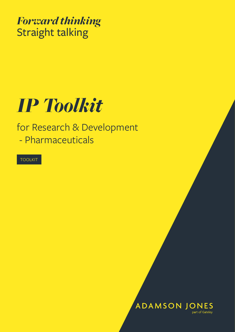*Forward thinking* Straight talking

## *IP Toolkit*

for Research & Development - Pharmaceuticals

TOOLKIT

**ADAMSON JONES** part of Gateley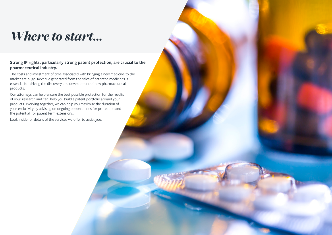## **Strong IP rights, particularly strong patent protection, are crucial to the pharmaceutical industry.**

The costs and investment of time associated with bringing a new medicine to the market are huge. Revenue generated from the sales of patented medicines is essential for driving the discovery and development of new pharmaceutical products.

Our attorneys can help ensure the best possible protection for the results of your research and can help you build a patent portfolio around your products. Working together, we can help you maximise the duration of your exclusivity by advising on ongoing opportunities for protection and the potential for patent term extensions.

Look inside for details of the services we offer to assist you.



## *Where to start...*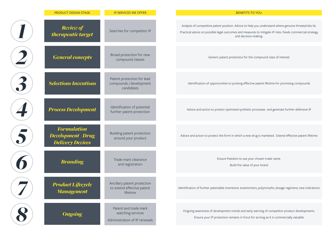| <b>PRODUCT DESIGN STAGE</b>                                                | <b>IP SERVICES WE OFFER</b>                                                 | <b>BENEFITS TO YOU</b>                                                                                                                                |
|----------------------------------------------------------------------------|-----------------------------------------------------------------------------|-------------------------------------------------------------------------------------------------------------------------------------------------------|
| <b>Review of</b><br>therapeutic target                                     | Searches for competitor IP                                                  | Analysis of competitive patent position. Advice to help you u<br>Practical advice on possible legal outcomes and measures to r<br>and decision-making |
| <b>General concepts</b>                                                    | Broad protection for new<br>compound classes                                | Generic patent protection for the comp                                                                                                                |
| <b>Selections Inventions</b>                                               | Patent protection for lead<br>compounds / development<br>candidates         | Identification of opportunities to prolong effective pate                                                                                             |
| <b>Process Development</b>                                                 | Identification of potential<br>further patent protection                    | Advice and action to protect optimised synthetic proces                                                                                               |
| <b>Formulation</b><br><b>Development   Drug</b><br><b>Delivery Devices</b> | Building patent protection<br>around your product                           | Advice and action to protect the form in which a new drug is                                                                                          |
| <b>Branding</b>                                                            | Trade mark clearance<br>and registration                                    | Ensure freedom to use your chose<br>Build the value of your b                                                                                         |
| <b>Product Lifecycle</b><br><b>Management</b>                              | Ancillary patent protection<br>to extend effective patent<br>lifetime       | Identification of further patentable inventions: enantiomers; po                                                                                      |
| <b>Ongoing</b>                                                             | Patent and trade mark<br>watching services<br>Administration of IP renewals | Ongoing awareness of development trends and early warnir<br>Ensure your IP protection remains in force for as lo                                      |

Ip you understand where genuine threats/risks lie.

res to mitigate IP risks. Feeds commercial strategy a-making.

e compound class of interest

ive patent lifetime for promising compounds

processes and generate further defensive IP

drug is marketed. Extend effective patent lifetime

ur chosen trade name.

of your brand

ners; polymorphs; dosage regimens; new indications

y warning of competitor product developments.

for as long as it is commercially valuable